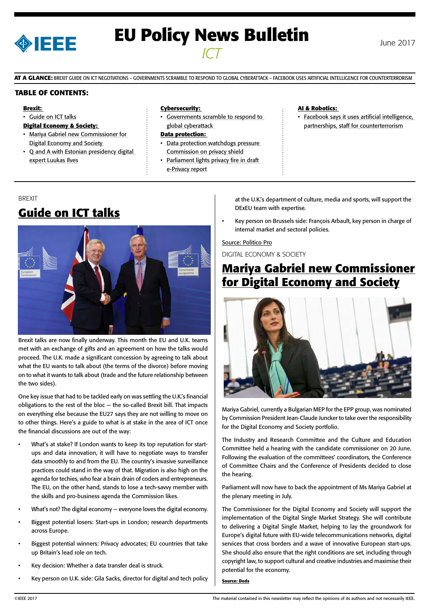

# **EU Policy News Bulletin** June 2017 *ICT*

**AT A GLANCE:** BREXIT GUIDE ON ICT NEGOTIATIONS – GOVERNMENTS SCRAMBLE TO RESPOND TO GLOBAL CYBERATTACK – FACEBOOK USES ARTIFICIAL INTELLIGENCE FOR COUNTERTERRORISM

#### **TABLE OF CONTENTS:**

#### **Brexit:**

• Guide on ICT talks

#### **Digital Economy & Society:**

- Mariya Gabriel new Commissioner for Digital Economy and Society
- Q and A with Estonian presidency digital [expert Luukas Ilves](#page-1-0)

#### **Cybersecurity:**

• [Governments scramble to respond to](#page-1-0)  [global cyberattack](#page-1-0) 

#### **Data protection:**

- [Data protection watchdogs pressure](#page-2-0)  [Commission on privacy shield](#page-2-0)
- Parliament lights privacy fire in draft [e-Privacy report](#page-2-0)

#### **AI & Robotics:**

• Facebook says it uses artificial intelligence, [partnerships, staff for counterterrorism](#page-3-0)

### BREXIT **Guide on ICT talks**



Brexit talks are now finally underway. This month the EU and U.K. teams met with an exchange of gifts and an agreement on how the talks would proceed. The U.K. made a significant concession by agreeing to talk about what the EU wants to talk about (the terms of the divorce) before moving on to what it wants to talk about (trade and the future relationship between the two sides).

One key issue that had to be tackled early on was settling the U.K.'s financial obligations to the rest of the bloc — the so-called Brexit bill. That impacts on everything else because the EU27 says they are not willing to move on to other things. Here's a guide to what is at stake in the area of ICT once the financial discussions are out of the way:

- What's at stake? If London wants to keep its top reputation for startups and data innovation, it will have to negotiate ways to transfer data smoothly to and from the EU. The country's invasive surveillance practices could stand in the way of that. Migration is also high on the agenda for techies, who fear a brain drain of coders and entrepreneurs. The EU, on the other hand, stands to lose a tech-savvy member with the skills and pro-business agenda the Commission likes.
- What's not? The digital economy everyone loves the digital economy.
- Biggest potential losers: Start-ups in London; research departments across Europe.
- Biggest potential winners: Privacy advocates; EU countries that take up Britain's lead role on tech.
- Key decision: Whether a data transfer deal is struck.
- Key person on U.K. side: Gila Sacks, director for digital and tech policy

at the U.K.'s department of culture, media and sports, will support the DExEU team with expertise.

• Key person on Brussels side: François Arbault, key person in charge of internal market and sectoral policies.

#### Source: Politico Pro

DIGITAL ECONOMY & SOCIETY

## **Mariya Gabriel new Commissioner for Digital Economy and Society**



Mariya Gabriel, currently a Bulgarian MEP for the EPP group, was nominated by Commission President Jean-Claude Juncker to take over the responsibility for the Digital Economy and Society portfolio.

The Industry and Research Committee and the Culture and Education Committee held a hearing with the candidate commissioner on 20 June. Following the evaluation of the committees' coordinators, the Conference of Committee Chairs and the Conference of Presidents decided to close the hearing.

Parliament will now have to back the appointment of Ms Mariya Gabriel at the plenary meeting in July.

The Commissioner for the Digital Economy and Society will support the implementation of the Digital Single Market Strategy. She will contribute to delivering a Digital Single Market, helping to lay the groundwork for Europe's digital future with EU-wide telecommunications networks, digital services that cross borders and a wave of innovative European start-ups. She should also ensure that the right conditions are set, including through copyright law, to support cultural and creative industries and maximise their potential for the economy.

#### **Source: Dods**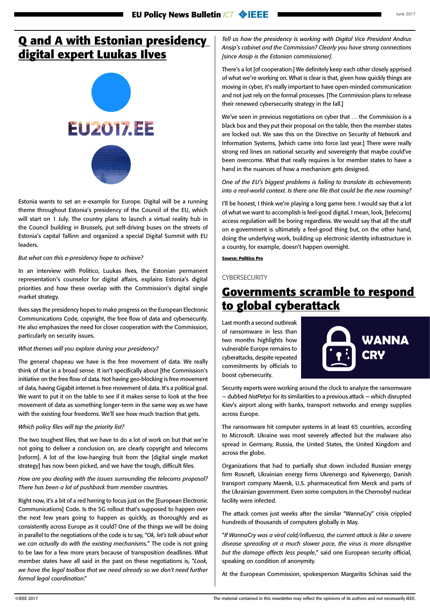# <span id="page-1-0"></span>**Q and A with Estonian presidency digital expert Luukas Ilves**



Estonia wants to set an e-example for Europe. Digital will be a running theme throughout Estonia's presidency of the Council of the EU, which will start on 1 July. The country plans to launch a virtual reality hub in the Council building in Brussels, put self-driving buses on the streets of Estonia's capital Tallinn and organized a special Digital Summit with EU leaders.

#### *But what can this e-presidency hope to achieve?*

In an interview with Politico, Luukas Ilves, the Estonian permanent representation's counselor for digital affairs, explains Estonia's digital priorities and how these overlap with the Commission's digital single market strategy.

Ilves says the presidency hopes to make progress on the European Electronic Communications Code, copyright, the free flow of data and cybersecurity. He also emphasizes the need for closer cooperation with the Commission, particularly on security issues.

#### *What themes will you explore during your presidency?*

The general chapeau we have is the free movement of data. We really think of that in a broad sense. It isn't specifically about [the Commission's initiative on the free flow of data. Not having geo-blocking is free movement of data, having Gigabit internet is free movement of data. It's a political goal. We want to put it on the table to see if it makes sense to look at the free movement of data as something longer-term in the same way as we have with the existing four freedoms. We'll see how much traction that gets.

#### *Which policy files will top the priority list?*

The two toughest files, that we have to do a lot of work on but that we're not going to deliver a conclusion on, are clearly copyright and telecoms [reform]. A lot of the low-hanging fruit from the [digital single market strategy] has now been picked, and we have the tough, difficult files.

#### *How are you dealing with the issues surrounding the telecoms proposal? There has been a lot of pushback from member countries.*

Right now, it's a bit of a red herring to focus just on the [European Electronic Communications] Code. Is the 5G rollout that's supposed to happen over the next few years going to happen as quickly, as thoroughly and as consistently across Europe as it could? One of the things we will be doing in parallel to the negotiations of the code is to say, "*Ok, let's talk about what we can actually do with the existing mechanisms.*" The code is not going to be law for a few more years because of transposition deadlines. What member states have all said in the past on these negotiations is, "*Look, we have the legal toolbox that we need already so we don't need further formal legal coordination*."

*Tell us how the presidency is working with Digital Vice President Andrus Ansip's cabinet and the Commission? Clearly you have strong connections [since Ansip is the Estonian commissioner].*

There's a lot [of cooperation.] We definitely keep each other closely apprised of what we're working on. What is clear is that, given how quickly things are moving in cyber, it's really important to have open-minded communication and not just rely on the formal processes. [The Commission plans to release their renewed cybersecurity strategy in the fall.]

We've seen in previous negotiations on cyber that … the Commission is a black box and they put their proposal on the table, then the member states are locked out. We saw this on the Directive on Security of Network and Information Systems, [which came into force last year.] There were really strong red lines on national security and sovereignty that maybe could've been overcome. What that really requires is for member states to have a hand in the nuances of how a mechanism gets designed.

*One of the EU's biggest problems is failing to translate its achievements into a real-world context. Is there one file that could be the new roaming?* 

I'll be honest, I think we're playing a long game here. I would say that a lot of what we want to accomplish is feel-good digital. I mean, look, [telecoms] access regulation will be boring regardless. We would say that all the stuff on e-government is ultimately a feel-good thing but, on the other hand, doing the underlying work, building up electronic identity infrastructure in a country, for example, doesn't happen overnight.

**Source: Politico Pro**

#### **CYBERSECURITY**

### **Governments scramble to respond to global cyberattack**

Last month a second outbreak of ransomware in less than two months highlights how vulnerable Europe remains to cyberattacks, despite repeated commitments by officials to boost cybersecurity.



Security experts were working around the clock to analyze the ransomware — dubbed *NotPetya* for its similarities to a previous attack — which disrupted Kiev's airport along with banks, transport networks and energy supplies across Europe.

The ransomware hit computer systems in at least 65 countries, according to Microsoft. Ukraine was most severely affected but the malware also spread in Germany, Russia, the United States, the United Kingdom and across the globe.

Organizations that had to partially shut down included Russian energy firm Rosneft, Ukrainian energy firms Ukrenergo and Kyivenergo, Danish transport company Maersk, U.S. pharmaceutical firm Merck and parts of the Ukrainian government. Even some computers in the Chernobyl nuclear facility were infected.

The attack comes just weeks after the similar "WannaCry" crisis crippled hundreds of thousands of computers globally in May.

"*If WannaCry was a viral cold/influenza, the current attack is like a severe disease spreading at a much slower pace, the virus is more disruptive but the damage affects less people*," said one European security official, speaking on condition of anonymity.

At the European Commission, spokesperson Margaritis Schinas said the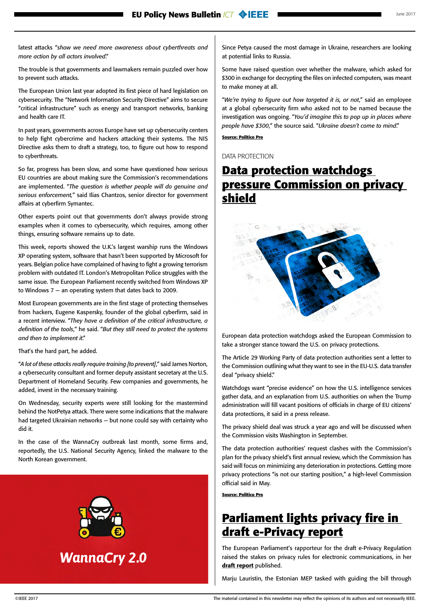<span id="page-2-0"></span>latest attacks "*show we need more awareness about cyberthreats and more action by all actors involved*."

The trouble is that governments and lawmakers remain puzzled over how to prevent such attacks.

The European Union last year adopted its first piece of hard legislation on cybersecurity. The "Network Information Security Directive" aims to secure "critical infrastructure" such as energy and transport networks, banking and health care IT.

In past years, governments across Europe have set up cybersecurity centers to help fight cybercrime and hackers attacking their systems. The NIS Directive asks them to draft a strategy, too, to figure out how to respond to cyberthreats.

So far, progress has been slow, and some have questioned how serious EU countries are about making sure the Commission's recommendations are implemented. "*The question is whether people will do genuine and serious enforcement,*" said Ilias Chantzos, senior director for government affairs at cyberfirm Symantec.

Other experts point out that governments don't always provide strong examples when it comes to cybersecurity, which requires, among other things, ensuring software remains up to date.

This week, reports showed the U.K.'s largest warship runs the Windows XP operating system, software that hasn't been supported by Microsoft for years. Belgian police have complained of having to fight a growing terrorism problem with outdated IT. London's Metropolitan Police struggles with the same issue. The European Parliament recently switched from Windows XP to Windows 7 — an operating system that dates back to 2009.

Most European governments are in the first stage of protecting themselves from hackers, Eugene Kaspersky, founder of the global cyberfirm, said in a recent interview. "*They have a definition of the critical infrastructure, a definition of the tools*," he said. "*But they still need to protect the systems and then to implement it*."

That's the hard part, he added.

"*A lot of these attacks really require training [to prevent]*," said James Norton, a cybersecurity consultant and former deputy assistant secretary at the U.S. Department of Homeland Security. Few companies and governments, he added, invest in the necessary training.

On Wednesday, security experts were still looking for the mastermind behind the NotPetya attack. There were some indications that the malware had targeted Ukrainian networks — but none could say with certainty who did it.

In the case of the WannaCry outbreak last month, some firms and, reportedly, the U.S. National Security Agency, linked the malware to the North Korean government.



**WannaCry 2.0** 

Since Petya caused the most damage in Ukraine, researchers are looking at potential links to Russia.

Some have raised question over whether the malware, which asked for \$300 in exchange for decrypting the files on infected computers, was meant to make money at all.

"*We're trying to figure out how targeted it is, or not*," said an employee at a global cybersecurity firm who asked not to be named because the investigation was ongoing. "*You'd imagine this to pop up in places where people have \$300*," the source said. "*Ukraine doesn't come to mind*."

#### **Source: Politico Pro**

DATA PROTECTION

### **Data protection watchdogs pressure Commission on privacy shield**



European data protection watchdogs asked the European Commission to take a stronger stance toward the U.S. on privacy protections.

The Article 29 Working Party of data protection authorities sent a letter to the Commission outlining what they want to see in the EU-U.S. data transfer deal "privacy shield."

Watchdogs want "precise evidence" on how the U.S. intelligence services gather data, and an explanation from U.S. authorities on when the Trump administration will fill vacant positions of officials in charge of EU citizens' data protections, it said in a press release.

The privacy shield deal was struck a year ago and will be discussed when the Commission visits Washington in September.

The data protection authorities' request clashes with the Commission's plan for the privacy shield's first annual review, which the Commission has said will focus on minimizing any deterioration in protections. Getting more privacy protections "is not our starting position," a high-level Commission official said in May.

**Source: Politico Pro**

### **Parliament lights privacy fire in draft e-Privacy report**

The European Parliament's rapporteur for the draft e-Privacy Regulation raised the stakes on privacy rules for electronic communications, in her [draft report](http://www.europarl.europa.eu/sides/getDoc.do?pubRef=-%2f%2fEP%2f%2fNONSGML%2bCOMPARL%2bPE-606.011%2b01%2bDOC%2bPDF%2bV0%2f%2fEN) published.

Marju Lauristin, the Estonian MEP tasked with guiding the bill through